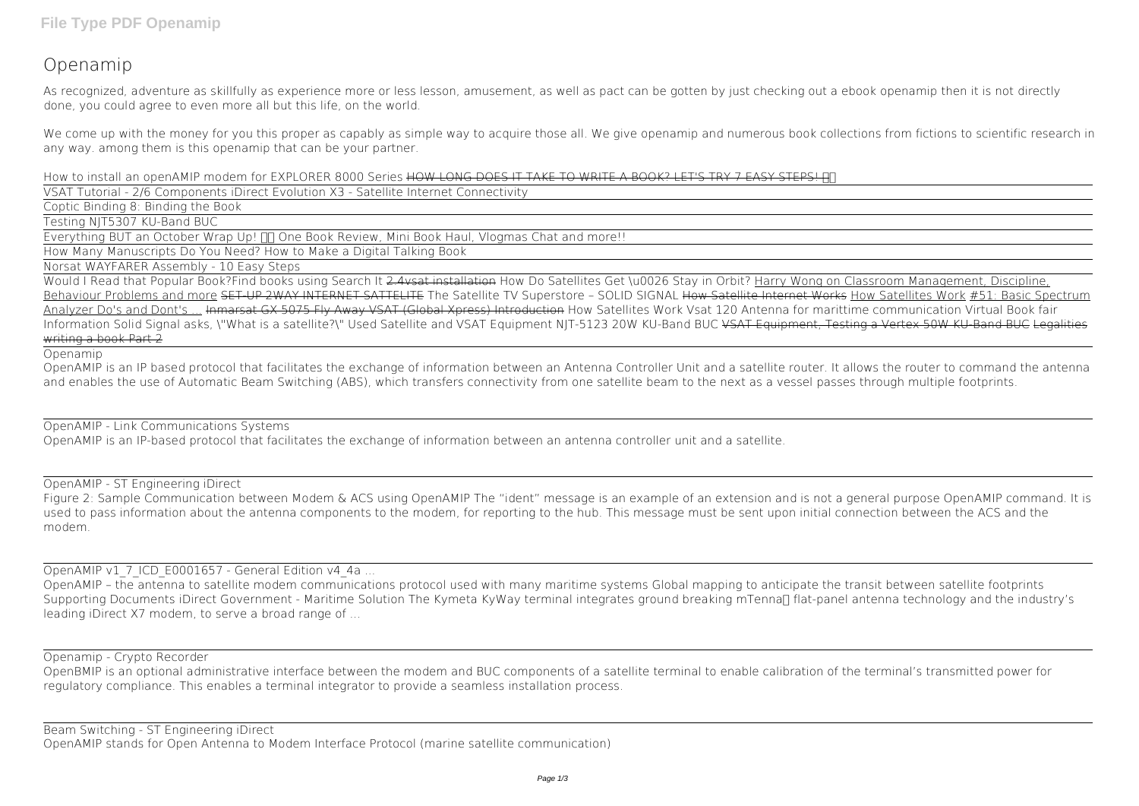# **Openamip**

As recognized, adventure as skillfully as experience more or less lesson, amusement, as well as pact can be gotten by just checking out a ebook **openamip** then it is not directly done, you could agree to even more all but this life, on the world.

We come up with the money for you this proper as capably as simple way to acquire those all. We give openamip and numerous book collections from fictions to scientific research in any way. among them is this openamip that can be your partner.

**How to install an openAMIP modem for EXPLORER 8000 Series** HOW LONG DOES IT TAKE TO WRITE A BOOK? LET'S TRY 7 EASY STEPS!

VSAT Tutorial - 2/6 Components iDirect Evolution X3 - Satellite Internet Connectivity

Coptic Binding 8: Binding the Book

Testing NJT5307 KU-Band BUC

Everything BUT an October Wrap Up!  $\Box$  One Book Review, Mini Book Haul, Vlogmas Chat and more!!

How Many Manuscripts Do You Need? How to Make a Digital Talking Book

Norsat WAYFARER Assembly - 10 Easy Steps

Figure 2: Sample Communication between Modem & ACS using OpenAMIP The "ident" message is an example of an extension and is not a general purpose OpenAMIP command. It is used to pass information about the antenna components to the modem, for reporting to the hub. This message must be sent upon initial connection between the ACS and the modem.

OpenAMIP v1\_7\_ICD\_E0001657 - General Edition v4\_4a ...

Would I Read that Popular Book?*Find books using Search It* 2.4vsat installation How Do Satellites Get \u0026 Stay in Orbit? Harry Wong on Classroom Management, Discipline, Behaviour Problems and more SET UP 2WAY INTERNET SATTELITE The Satellite TV Superstore - SOLID SIGNAL How Satellite Internet Works How Satellites Work #51: Basic Spectrum Analyzer Do's and Dont's ... Inmarsat GX 5075 Fly Away VSAT (Global Xpress) Introduction *How Satellites Work* Vsat 120 Antenna for marittime communication **Virtual Book fair Information Solid Signal asks, \"What is a satellite?\"** *Used Satellite and VSAT Equipment NJT-5123 20W KU-Band BUC* VSAT Equipment, Testing a Vertex 50W KU-Band BUC Legalities writing a book Part 2

Openamip

OpenAMIP is an IP based protocol that facilitates the exchange of information between an Antenna Controller Unit and a satellite router. It allows the router to command the antenna and enables the use of Automatic Beam Switching (ABS), which transfers connectivity from one satellite beam to the next as a vessel passes through multiple footprints.

OpenAMIP - Link Communications Systems

OpenAMIP is an IP-based protocol that facilitates the exchange of information between an antenna controller unit and a satellite.

OpenAMIP - ST Engineering iDirect

OpenAMIP – the antenna to satellite modem communications protocol used with many maritime systems Global mapping to anticipate the transit between satellite footprints Supporting Documents iDirect Government - Maritime Solution The Kymeta KyWay terminal integrates ground breaking mTenna∏ flat-panel antenna technology and the industry's leading iDirect X7 modem, to serve a broad range of ...

## Openamip - Crypto Recorder

OpenBMIP is an optional administrative interface between the modem and BUC components of a satellite terminal to enable calibration of the terminal's transmitted power for regulatory compliance. This enables a terminal integrator to provide a seamless installation process.

Beam Switching - ST Engineering iDirect OpenAMIP stands for Open Antenna to Modem Interface Protocol (marine satellite communication)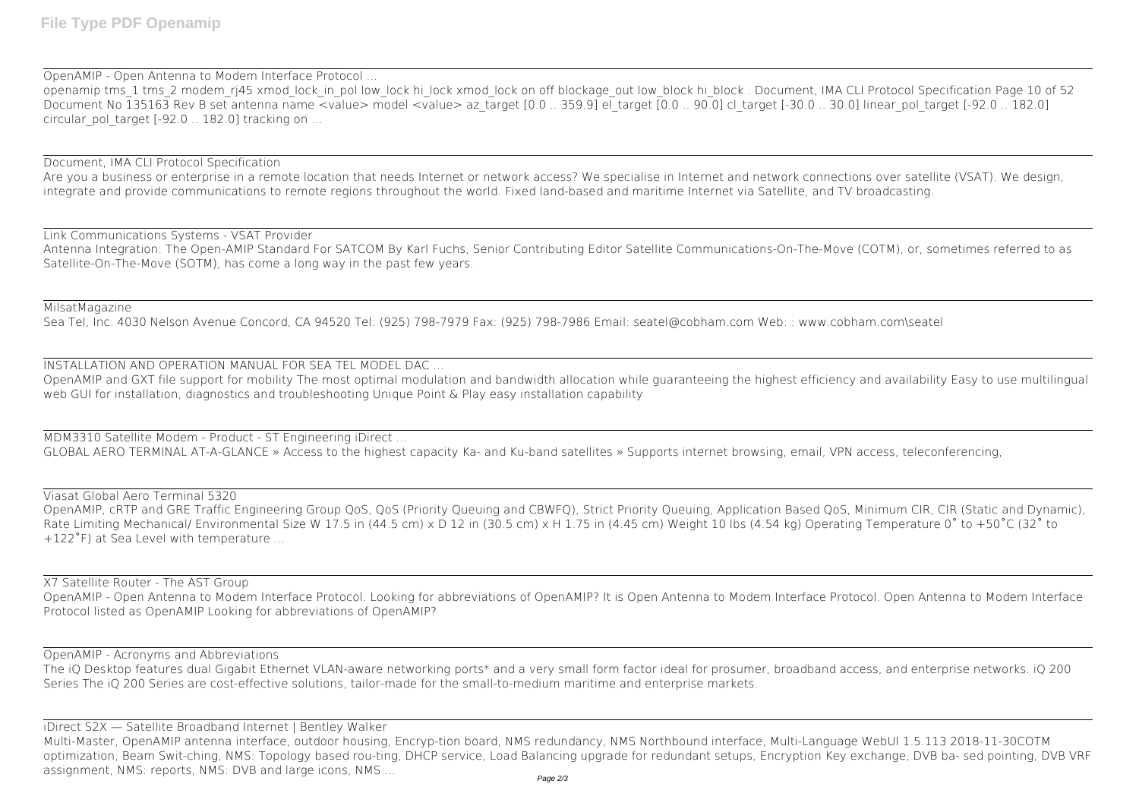OpenAMIP - Open Antenna to Modem Interface Protocol ...

openamip tms\_1 tms\_2 modem\_rj45 xmod\_lock\_in\_pol low\_lock hi\_lock xmod\_lock on off blockage\_out low\_block hi\_block . Document, IMA CLI Protocol Specification Page 10 of 52 Document No  $\overline{1}3516\overline{3}$  Rev B set antenna name <value> model <value> az\_target [0.0 .. 359.9] el\_target [0.0 .. 90.0] cl\_target [-30.0 .. 30.0] linear\_pol\_target [-92.0 .. 182.0] circular\_pol\_target [-92.0 .. 182.0] tracking on ...

## Document, IMA CLI Protocol Specification

OpenAMIP and GXT file support for mobility The most optimal modulation and bandwidth allocation while guaranteeing the highest efficiency and availability Easy to use multilingual web GUI for installation, diagnostics and troubleshooting Unique Point & Play easy installation capability

Are you a business or enterprise in a remote location that needs Internet or network access? We specialise in Internet and network connections over satellite (VSAT). We design, integrate and provide communications to remote regions throughout the world. Fixed land-based and maritime Internet via Satellite, and TV broadcasting.

Link Communications Systems - VSAT Provider

Antenna Integration: The Open-AMIP Standard For SATCOM By Karl Fuchs, Senior Contributing Editor Satellite Communications-On-The-Move (COTM), or, sometimes referred to as Satellite-On-The-Move (SOTM), has come a long way in the past few years.

MilsatMagazine

Sea Tel, Inc. 4030 Nelson Avenue Concord, CA 94520 Tel: (925) 798-7979 Fax: (925) 798-7986 Email: seatel@cobham.com Web: : www.cobham.com\seatel

INSTALLATION AND OPERATION MANUAL FOR SEA TEL MODEL DAC ...

MDM3310 Satellite Modem - Product - ST Engineering iDirect ...

Multi-Master, OpenAMIP antenna interface, outdoor housing, Encryp-tion board, NMS redundancy, NMS Northbound interface, Multi-Language WebUI 1.5.113 2018-11-30COTM optimization, Beam Swit-ching, NMS: Topology based rou-ting, DHCP service, Load Balancing upgrade for redundant setups, Encryption Key exchange, DVB ba- sed pointing, DVB VRF assignment, NMS: reports, NMS: DVB and large icons, NMS ...

GLOBAL AERO TERMINAL AT-A-GLANCE » Access to the highest capacity Ka- and Ku-band satellites » Supports internet browsing, email, VPN access, teleconferencing,

Viasat Global Aero Terminal 5320 OpenAMIP, cRTP and GRE Traffic Engineering Group QoS, QoS (Priority Queuing and CBWFQ), Strict Priority Queuing, Application Based QoS, Minimum CIR, CIR (Static and Dynamic), Rate Limiting Mechanical/ Environmental Size W 17.5 in (44.5 cm) x D 12 in (30.5 cm) x H 1.75 in (4.45 cm) Weight 10 lbs (4.54 kg) Operating Temperature 0° to +50°C (32° to +122˚F) at Sea Level with temperature ...

X7 Satellite Router - The AST Group OpenAMIP - Open Antenna to Modem Interface Protocol. Looking for abbreviations of OpenAMIP? It is Open Antenna to Modem Interface Protocol. Open Antenna to Modem Interface Protocol listed as OpenAMIP Looking for abbreviations of OpenAMIP?

OpenAMIP - Acronyms and Abbreviations

The iQ Desktop features dual Gigabit Ethernet VLAN-aware networking ports\* and a very small form factor ideal for prosumer, broadband access, and enterprise networks. iQ 200 Series The iQ 200 Series are cost-effective solutions, tailor-made for the small-to-medium maritime and enterprise markets.

iDirect S2X — Satellite Broadband Internet | Bentley Walker